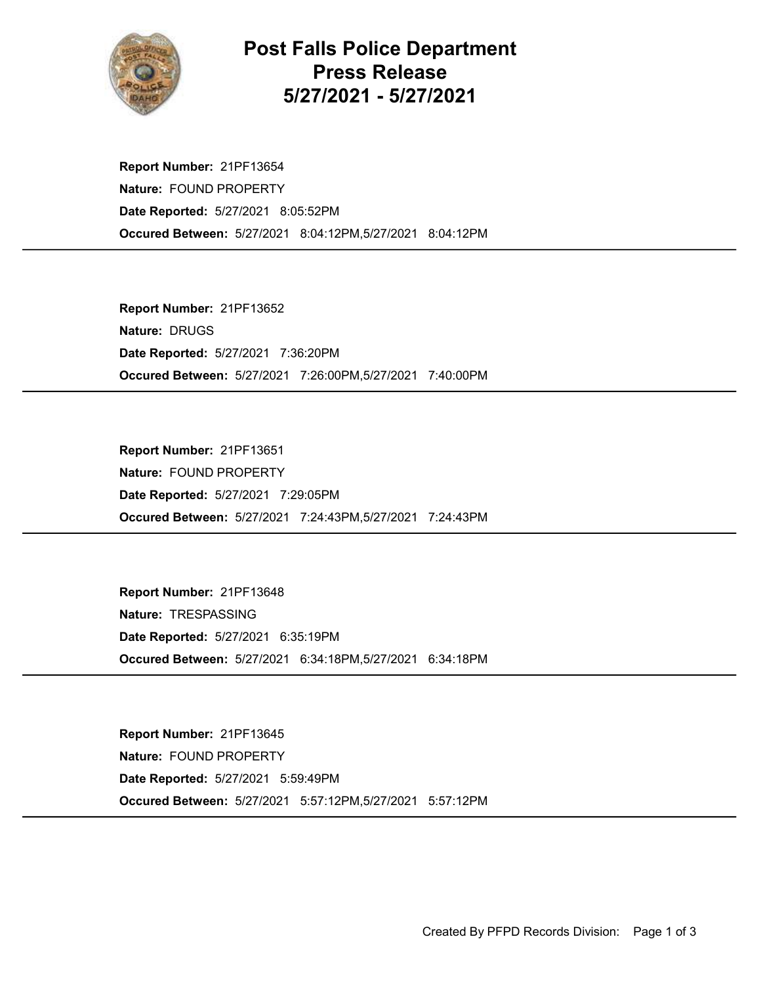

## Post Falls Police Department Press Release 5/27/2021 - 5/27/2021

Occured Between: 5/27/2021 8:04:12PM,5/27/2021 8:04:12PM Report Number: 21PF13654 Nature: FOUND PROPERTY Date Reported: 5/27/2021 8:05:52PM

Occured Between: 5/27/2021 7:26:00PM,5/27/2021 7:40:00PM Report Number: 21PF13652 Nature: DRUGS Date Reported: 5/27/2021 7:36:20PM

Occured Between: 5/27/2021 7:24:43PM,5/27/2021 7:24:43PM Report Number: 21PF13651 Nature: FOUND PROPERTY Date Reported: 5/27/2021 7:29:05PM

Occured Between: 5/27/2021 6:34:18PM,5/27/2021 6:34:18PM Report Number: 21PF13648 Nature: TRESPASSING Date Reported: 5/27/2021 6:35:19PM

Occured Between: 5/27/2021 5:57:12PM,5/27/2021 5:57:12PM Report Number: 21PF13645 Nature: FOUND PROPERTY Date Reported: 5/27/2021 5:59:49PM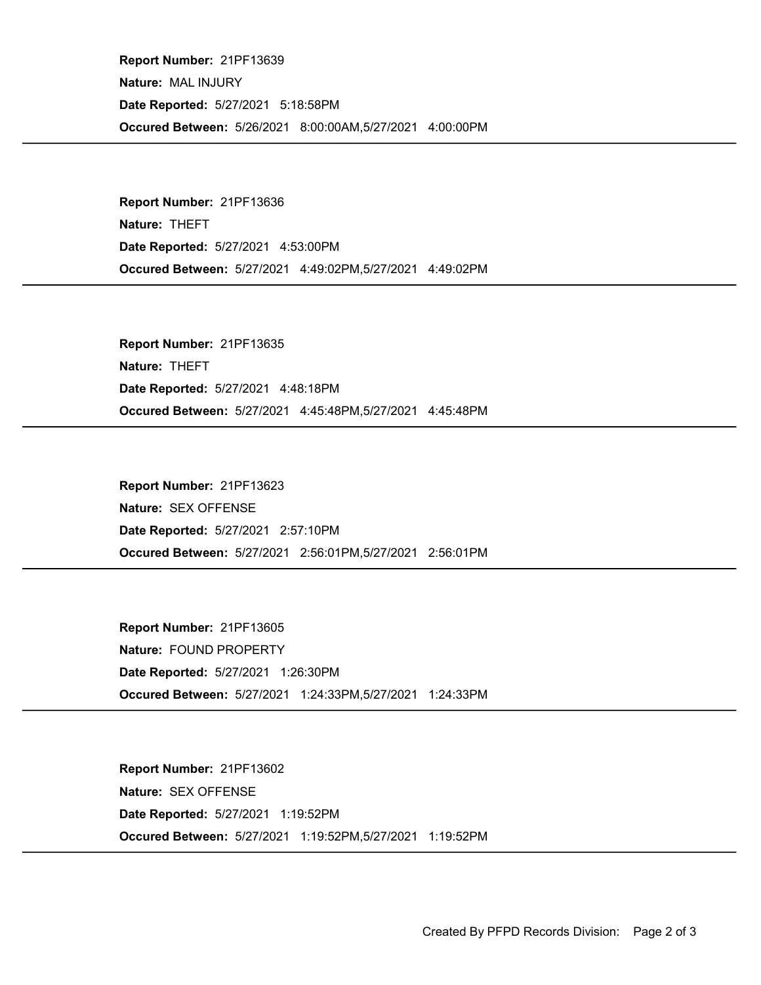Occured Between: 5/26/2021 8:00:00AM,5/27/2021 4:00:00PM Report Number: 21PF13639 Nature: MAL INJURY Date Reported: 5/27/2021 5:18:58PM

Occured Between: 5/27/2021 4:49:02PM,5/27/2021 4:49:02PM Report Number: 21PF13636 Nature: THEFT Date Reported: 5/27/2021 4:53:00PM

Occured Between: 5/27/2021 4:45:48PM,5/27/2021 4:45:48PM Report Number: 21PF13635 Nature: THEFT Date Reported: 5/27/2021 4:48:18PM

Occured Between: 5/27/2021 2:56:01PM,5/27/2021 2:56:01PM Report Number: 21PF13623 Nature: SEX OFFENSE Date Reported: 5/27/2021 2:57:10PM

Occured Between: 5/27/2021 1:24:33PM,5/27/2021 1:24:33PM Report Number: 21PF13605 Nature: FOUND PROPERTY Date Reported: 5/27/2021 1:26:30PM

Occured Between: 5/27/2021 1:19:52PM,5/27/2021 1:19:52PM Report Number: 21PF13602 Nature: SEX OFFENSE Date Reported: 5/27/2021 1:19:52PM